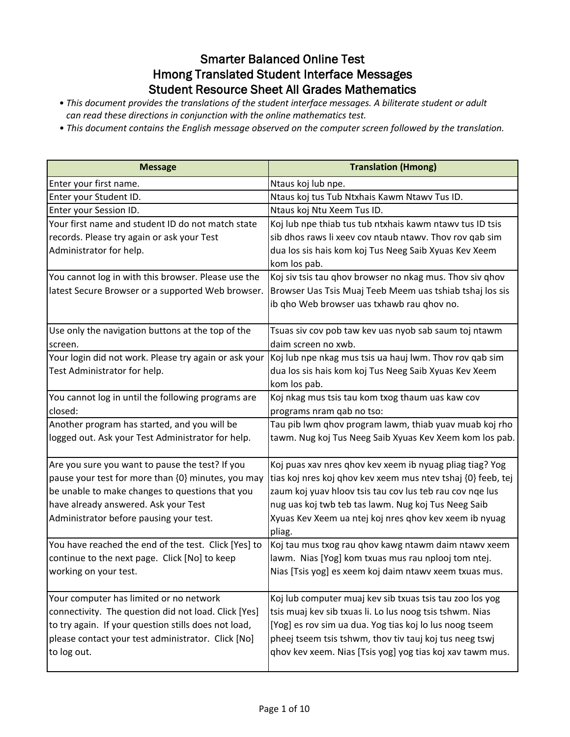### Smarter Balanced Online Test Hmong Translated Student Interface Messages Student Resource Sheet All Grades Mathematics

- *This document provides the translations of the student interface messages. A biliterate student or adult can read these directions in conjunction with the online mathematics test.*
- *This document contains the English message observed on the computer screen followed by the translation.*

| <b>Message</b>                                        | <b>Translation (Hmong)</b>                                       |
|-------------------------------------------------------|------------------------------------------------------------------|
| Enter your first name.                                | Ntaus koj lub npe.                                               |
| Enter your Student ID.                                | Ntaus koj tus Tub Ntxhais Kawm Ntawv Tus ID.                     |
| Enter your Session ID.                                | Ntaus koj Ntu Xeem Tus ID.                                       |
| Your first name and student ID do not match state     | Koj lub npe thiab tus tub ntxhais kawm ntawv tus ID tsis         |
| records. Please try again or ask your Test            | sib dhos raws li xeev cov ntaub ntawv. Thov rov qab sim          |
| Administrator for help.                               | dua los sis hais kom koj Tus Neeg Saib Xyuas Kev Xeem            |
|                                                       | kom los pab.                                                     |
| You cannot log in with this browser. Please use the   | Koj siv tsis tau ghov browser no nkag mus. Thov siv ghov         |
| latest Secure Browser or a supported Web browser.     | Browser Uas Tsis Muaj Teeb Meem uas tshiab tshaj los sis         |
|                                                       | ib qho Web browser uas txhawb rau qhov no.                       |
| Use only the navigation buttons at the top of the     | Tsuas siv cov pob taw kev uas nyob sab saum toj ntawm            |
| screen.                                               | daim screen no xwb.                                              |
| Your login did not work. Please try again or ask your | Koj lub npe nkag mus tsis ua hauj lwm. Thov rov qab sim          |
| Test Administrator for help.                          | dua los sis hais kom koj Tus Neeg Saib Xyuas Kev Xeem            |
|                                                       | kom los pab.                                                     |
| You cannot log in until the following programs are    | Koj nkag mus tsis tau kom txog thaum uas kaw cov                 |
| closed:                                               | programs nram qab no tso:                                        |
| Another program has started, and you will be          | Tau pib lwm qhov program lawm, thiab yuav muab koj rho           |
| logged out. Ask your Test Administrator for help.     | tawm. Nug koj Tus Neeg Saib Xyuas Kev Xeem kom los pab.          |
| Are you sure you want to pause the test? If you       | Koj puas xav nres qhov kev xeem ib nyuag pliag tiag? Yog         |
| pause your test for more than {0} minutes, you may    | tias koj nres koj qhov kev xeem mus ntev tshaj {0} feeb, tej     |
| be unable to make changes to questions that you       | zaum koj yuav hloov tsis tau cov lus teb rau cov nge lus         |
| have already answered. Ask your Test                  | nug uas koj twb teb tas lawm. Nug koj Tus Neeg Saib              |
| Administrator before pausing your test.               | Xyuas Kev Xeem ua ntej koj nres qhov kev xeem ib nyuag<br>pliag. |
| You have reached the end of the test. Click [Yes] to  | Koj tau mus txog rau qhov kawg ntawm daim ntawv xeem             |
| continue to the next page. Click [No] to keep         | lawm. Nias [Yog] kom txuas mus rau nplooj tom ntej.              |
| working on your test.                                 | Nias [Tsis yog] es xeem koj daim ntawv xeem txuas mus.           |
| Your computer has limited or no network               | Koj lub computer muaj kev sib txuas tsis tau zoo los yog         |
| connectivity. The question did not load. Click [Yes]  | tsis muaj kev sib txuas li. Lo lus noog tsis tshwm. Nias         |
| to try again. If your question stills does not load,  | [Yog] es rov sim ua dua. Yog tias koj lo lus noog tseem          |
| please contact your test administrator. Click [No]    | pheej tseem tsis tshwm, thov tiv tauj koj tus neeg tswj          |
| to log out.                                           | ghov kev xeem. Nias [Tsis yog] yog tias koj xav tawm mus.        |
|                                                       |                                                                  |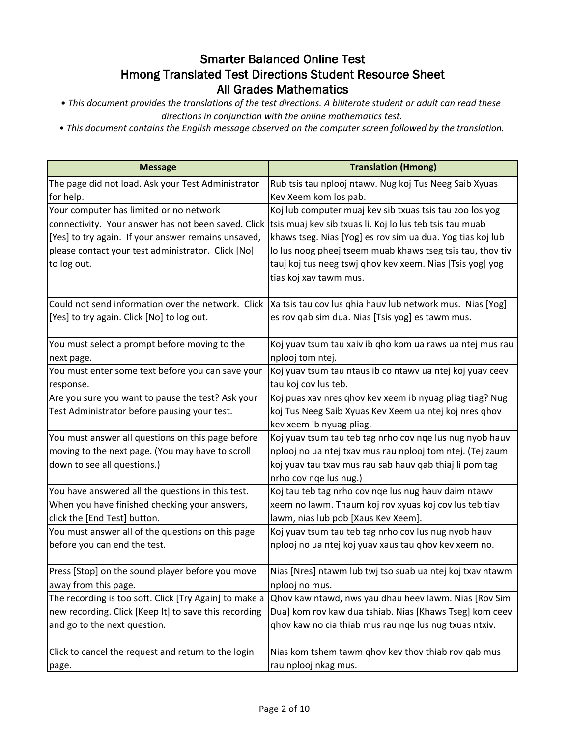*• This document provides the translations of the test directions. A biliterate student or adult can read these* 

*directions in conjunction with the online mathematics test.*

*• This document contains the English message observed on the computer screen followed by the translation.*

| <b>Message</b>                                                  | <b>Translation (Hmong)</b>                                                                                    |
|-----------------------------------------------------------------|---------------------------------------------------------------------------------------------------------------|
| The page did not load. Ask your Test Administrator<br>for help. | Rub tsis tau nplooj ntawv. Nug koj Tus Neeg Saib Xyuas<br>Kev Xeem kom los pab.                               |
| Your computer has limited or no network                         | Koj lub computer muaj kev sib txuas tsis tau zoo los yog                                                      |
|                                                                 | connectivity. Your answer has not been saved. Click  tsis muaj kev sib txuas li. Koj lo lus teb tsis tau muab |
| [Yes] to try again. If your answer remains unsaved,             | khaws tseg. Nias [Yog] es rov sim ua dua. Yog tias koj lub                                                    |
| please contact your test administrator. Click [No]              | lo lus noog pheej tseem muab khaws tseg tsis tau, thov tiv                                                    |
| to log out.                                                     | tauj koj tus neeg tswj qhov kev xeem. Nias [Tsis yog] yog                                                     |
|                                                                 | tias koj xav tawm mus.                                                                                        |
| Could not send information over the network. Click              | Xa tsis tau cov lus qhia hauv lub network mus. Nias [Yog]                                                     |
| [Yes] to try again. Click [No] to log out.                      | es rov qab sim dua. Nias [Tsis yog] es tawm mus.                                                              |
| You must select a prompt before moving to the                   | Koj yuav tsum tau xaiv ib qho kom ua raws ua ntej mus rau                                                     |
| next page.                                                      | nplooj tom ntej.                                                                                              |
| You must enter some text before you can save your               | Koj yuav tsum tau ntaus ib co ntawv ua ntej koj yuav ceev                                                     |
| response.                                                       | tau koj cov lus teb.                                                                                          |
| Are you sure you want to pause the test? Ask your               | Koj puas xav nres qhov kev xeem ib nyuag pliag tiag? Nug                                                      |
| Test Administrator before pausing your test.                    | koj Tus Neeg Saib Xyuas Kev Xeem ua ntej koj nres qhov                                                        |
|                                                                 | kev xeem ib nyuag pliag.                                                                                      |
| You must answer all questions on this page before               | Koj yuav tsum tau teb tag nrho cov nqe lus nug nyob hauv                                                      |
| moving to the next page. (You may have to scroll                | nplooj no ua ntej txav mus rau nplooj tom ntej. (Tej zaum                                                     |
| down to see all questions.)                                     | koj yuav tau txav mus rau sab hauv qab thiaj li pom tag                                                       |
|                                                                 | nrho cov nqe lus nug.)                                                                                        |
| You have answered all the questions in this test.               | Koj tau teb tag nrho cov nqe lus nug hauv daim ntawv                                                          |
| When you have finished checking your answers,                   | xeem no lawm. Thaum koj rov xyuas koj cov lus teb tiav                                                        |
| click the [End Test] button.                                    | lawm, nias lub pob [Xaus Kev Xeem].                                                                           |
| You must answer all of the questions on this page               | Koj yuav tsum tau teb tag nrho cov lus nug nyob hauv                                                          |
| before you can end the test.                                    | nplooj no ua ntej koj yuav xaus tau qhov kev xeem no.                                                         |
| Press [Stop] on the sound player before you move                | Nias [Nres] ntawm lub twj tso suab ua ntej koj txav ntawm                                                     |
| away from this page.                                            | nplooj no mus.                                                                                                |
| The recording is too soft. Click [Try Again] to make a          | Qhov kaw ntawd, nws yau dhau heev lawm. Nias [Rov Sim                                                         |
| new recording. Click [Keep It] to save this recording           | Dua] kom rov kaw dua tshiab. Nias [Khaws Tseg] kom ceev                                                       |
| and go to the next question.                                    | ghov kaw no cia thiab mus rau nge lus nug txuas ntxiv.                                                        |
| Click to cancel the request and return to the login             | Nias kom tshem tawm qhov kev thov thiab rov qab mus                                                           |
| page.                                                           | rau nplooj nkag mus.                                                                                          |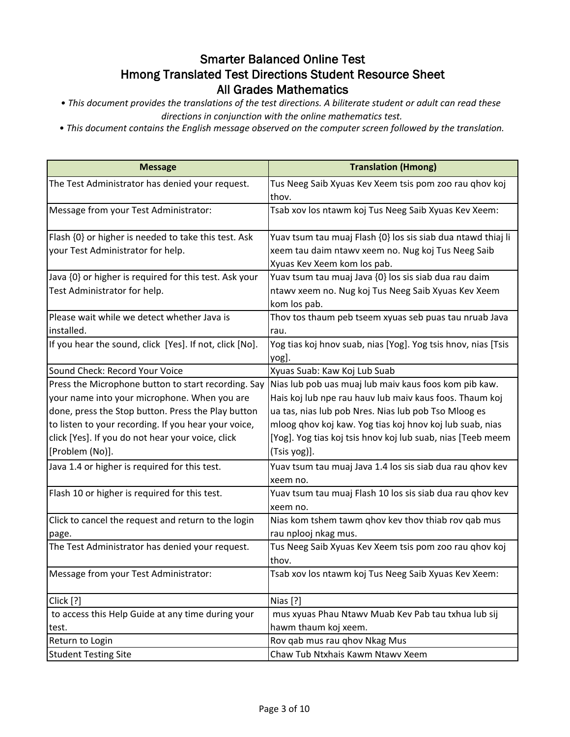- *This document provides the translations of the test directions. A biliterate student or adult can read these directions in conjunction with the online mathematics test.*
- *This document contains the English message observed on the computer screen followed by the translation.*

| <b>Message</b>                                          | <b>Translation (Hmong)</b>                                    |
|---------------------------------------------------------|---------------------------------------------------------------|
| The Test Administrator has denied your request.         | Tus Neeg Saib Xyuas Kev Xeem tsis pom zoo rau qhov koj        |
|                                                         | thov.                                                         |
| Message from your Test Administrator:                   | Tsab xov los ntawm koj Tus Neeg Saib Xyuas Kev Xeem:          |
| Flash {0} or higher is needed to take this test. Ask    | Yuav tsum tau muaj Flash {0} los sis siab dua ntawd thiaj li  |
| your Test Administrator for help.                       | xeem tau daim ntawv xeem no. Nug koj Tus Neeg Saib            |
|                                                         | Xyuas Kev Xeem kom los pab.                                   |
| Java {0} or higher is required for this test. Ask your  | Yuav tsum tau muaj Java {0} los sis siab dua rau daim         |
| Test Administrator for help.                            | ntawv xeem no. Nug koj Tus Neeg Saib Xyuas Kev Xeem           |
|                                                         | kom los pab.                                                  |
| Please wait while we detect whether Java is             | Thov tos thaum peb tseem xyuas seb puas tau nruab Java        |
| installed.                                              | rau.                                                          |
| If you hear the sound, click [Yes]. If not, click [No]. | Yog tias koj hnov suab, nias [Yog]. Yog tsis hnov, nias [Tsis |
|                                                         | yog].                                                         |
| Sound Check: Record Your Voice                          | Xyuas Suab: Kaw Koj Lub Suab                                  |
| Press the Microphone button to start recording. Say     | Nias lub pob uas muaj lub maiv kaus foos kom pib kaw.         |
| your name into your microphone. When you are            | Hais koj lub npe rau hauv lub maiv kaus foos. Thaum koj       |
| done, press the Stop button. Press the Play button      | ua tas, nias lub pob Nres. Nias lub pob Tso Mloog es          |
| to listen to your recording. If you hear your voice,    | mloog qhov koj kaw. Yog tias koj hnov koj lub suab, nias      |
| click [Yes]. If you do not hear your voice, click       | [Yog]. Yog tias koj tsis hnov koj lub suab, nias [Teeb meem   |
| [Problem (No)].                                         | (Tsis yog)].                                                  |
| Java 1.4 or higher is required for this test.           | Yuav tsum tau muaj Java 1.4 los sis siab dua rau qhov kev     |
|                                                         | xeem no.                                                      |
| Flash 10 or higher is required for this test.           | Yuav tsum tau muaj Flash 10 los sis siab dua rau qhov kev     |
|                                                         | xeem no.                                                      |
| Click to cancel the request and return to the login     | Nias kom tshem tawm qhov kev thov thiab rov qab mus           |
| page.                                                   | rau nplooj nkag mus.                                          |
| The Test Administrator has denied your request.         | Tus Neeg Saib Xyuas Kev Xeem tsis pom zoo rau qhov koj        |
|                                                         | thov.                                                         |
| Message from your Test Administrator:                   | Tsab xov los ntawm koj Tus Neeg Saib Xyuas Kev Xeem:          |
| Click [?]                                               | Nias [?]                                                      |
| to access this Help Guide at any time during your       | mus xyuas Phau Ntawv Muab Kev Pab tau txhua lub sij           |
| test.                                                   | hawm thaum koj xeem.                                          |
| Return to Login                                         | Rov gab mus rau ghov Nkag Mus                                 |
| <b>Student Testing Site</b>                             | Chaw Tub Ntxhais Kawm Ntawv Xeem                              |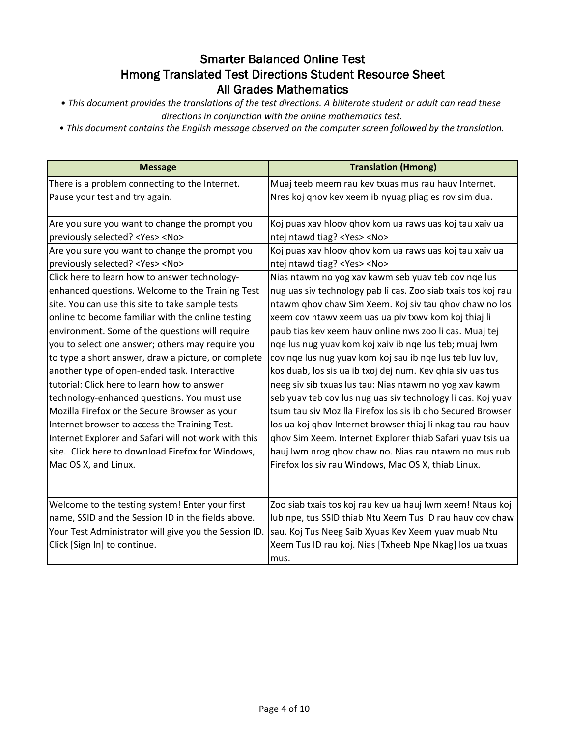- *This document provides the translations of the test directions. A biliterate student or adult can read these directions in conjunction with the online mathematics test.*
- *This document contains the English message observed on the computer screen followed by the translation.*

| <b>Message</b>                                        | <b>Translation (Hmong)</b>                                    |
|-------------------------------------------------------|---------------------------------------------------------------|
| There is a problem connecting to the Internet.        | Muaj teeb meem rau kev txuas mus rau hauv Internet.           |
| Pause your test and try again.                        | Nres koj qhov kev xeem ib nyuag pliag es rov sim dua.         |
|                                                       |                                                               |
| Are you sure you want to change the prompt you        | Koj puas xav hloov qhov kom ua raws uas koj tau xaiv ua       |
| previously selected? <yes> <no></no></yes>            | ntej ntawd tiag? <yes> <no></no></yes>                        |
| Are you sure you want to change the prompt you        | Koj puas xav hloov ghov kom ua raws uas koj tau xaiv ua       |
| previously selected? <yes> <no></no></yes>            | ntej ntawd tiag? <yes> <no></no></yes>                        |
| Click here to learn how to answer technology-         | Nias ntawm no yog xav kawm seb yuav teb cov nqe lus           |
| enhanced questions. Welcome to the Training Test      | nug uas siv technology pab li cas. Zoo siab txais tos koj rau |
| site. You can use this site to take sample tests      | ntawm qhov chaw Sim Xeem. Koj siv tau qhov chaw no los        |
| online to become familiar with the online testing     | xeem cov ntawy xeem uas ua piv txwy kom koj thiaj li          |
| environment. Some of the questions will require       | paub tias kev xeem hauv online nws zoo li cas. Muaj tej       |
| you to select one answer; others may require you      | nge lus nug yuav kom koj xaiv ib nge lus teb; muaj lwm        |
| to type a short answer, draw a picture, or complete   | cov nge lus nug yuav kom koj sau ib nge lus teb luv luv,      |
| another type of open-ended task. Interactive          | kos duab, los sis ua ib txoj dej num. Kev qhia siv uas tus    |
| tutorial: Click here to learn how to answer           | neeg siv sib txuas lus tau: Nias ntawm no yog xav kawm        |
| technology-enhanced questions. You must use           | seb yuav teb cov lus nug uas siv technology li cas. Koj yuav  |
| Mozilla Firefox or the Secure Browser as your         | tsum tau siv Mozilla Firefox los sis ib qho Secured Browser   |
| Internet browser to access the Training Test.         | los ua koj qhov Internet browser thiaj li nkag tau rau hauv   |
| Internet Explorer and Safari will not work with this  | ghov Sim Xeem. Internet Explorer thiab Safari yuav tsis ua    |
| site. Click here to download Firefox for Windows,     | hauj lwm nrog qhov chaw no. Nias rau ntawm no mus rub         |
| Mac OS X, and Linux.                                  | Firefox los siv rau Windows, Mac OS X, thiab Linux.           |
|                                                       |                                                               |
|                                                       |                                                               |
| Welcome to the testing system! Enter your first       | Zoo siab txais tos koj rau kev ua hauj lwm xeem! Ntaus koj    |
| name, SSID and the Session ID in the fields above.    | lub npe, tus SSID thiab Ntu Xeem Tus ID rau hauv cov chaw     |
| Your Test Administrator will give you the Session ID. | sau. Koj Tus Neeg Saib Xyuas Kev Xeem yuav muab Ntu           |
| Click [Sign In] to continue.                          | Xeem Tus ID rau koj. Nias [Txheeb Npe Nkag] los ua txuas      |
|                                                       | mus.                                                          |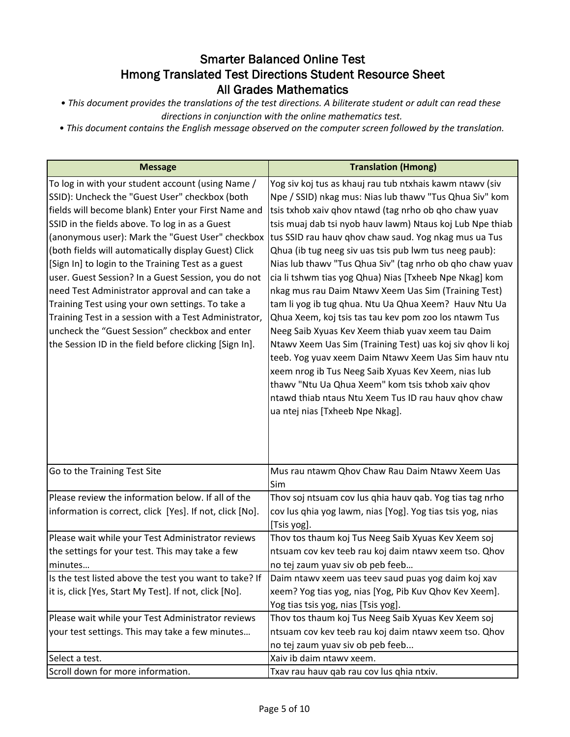*• This document provides the translations of the test directions. A biliterate student or adult can read these* 

*directions in conjunction with the online mathematics test.*

*• This document contains the English message observed on the computer screen followed by the translation.*

| <b>Message</b>                                                                                                                                                                                                                                                                                                                                                                                                                                                                                                                                                                                                                                                                                                    | <b>Translation (Hmong)</b>                                                                                                                                                                                                                                                                                                                                                                                                                                                                                                                                                                                                                                                                                                                                                                                                                                                                                                                                                                                                                     |
|-------------------------------------------------------------------------------------------------------------------------------------------------------------------------------------------------------------------------------------------------------------------------------------------------------------------------------------------------------------------------------------------------------------------------------------------------------------------------------------------------------------------------------------------------------------------------------------------------------------------------------------------------------------------------------------------------------------------|------------------------------------------------------------------------------------------------------------------------------------------------------------------------------------------------------------------------------------------------------------------------------------------------------------------------------------------------------------------------------------------------------------------------------------------------------------------------------------------------------------------------------------------------------------------------------------------------------------------------------------------------------------------------------------------------------------------------------------------------------------------------------------------------------------------------------------------------------------------------------------------------------------------------------------------------------------------------------------------------------------------------------------------------|
| To log in with your student account (using Name /<br>SSID): Uncheck the "Guest User" checkbox (both<br>fields will become blank) Enter your First Name and<br>SSID in the fields above. To log in as a Guest<br>(anonymous user): Mark the "Guest User" checkbox<br>(both fields will automatically display Guest) Click<br>[Sign In] to login to the Training Test as a guest<br>user. Guest Session? In a Guest Session, you do not<br>need Test Administrator approval and can take a<br>Training Test using your own settings. To take a<br>Training Test in a session with a Test Administrator,<br>uncheck the "Guest Session" checkbox and enter<br>the Session ID in the field before clicking [Sign In]. | Yog siv koj tus as khauj rau tub ntxhais kawm ntawv (siv<br>Npe / SSID) nkag mus: Nias lub thawv "Tus Qhua Siv" kom<br>tsis txhob xaiv qhov ntawd (tag nrho ob qho chaw yuav<br>tsis muaj dab tsi nyob hauv lawm) Ntaus koj Lub Npe thiab<br>tus SSID rau hauv qhov chaw saud. Yog nkag mus ua Tus<br>Qhua (ib tug neeg siv uas tsis pub lwm tus neeg paub):<br>Nias lub thawv "Tus Qhua Siv" (tag nrho ob qho chaw yuav<br>cia li tshwm tias yog Qhua) Nias [Txheeb Npe Nkag] kom<br>nkag mus rau Daim Ntawv Xeem Uas Sim (Training Test)<br>tam li yog ib tug qhua. Ntu Ua Qhua Xeem? Hauv Ntu Ua<br>Qhua Xeem, koj tsis tas tau kev pom zoo los ntawm Tus<br>Neeg Saib Xyuas Kev Xeem thiab yuav xeem tau Daim<br>Ntawv Xeem Uas Sim (Training Test) uas koj siv qhov li koj<br>teeb. Yog yuav xeem Daim Ntawv Xeem Uas Sim hauv ntu<br>xeem nrog ib Tus Neeg Saib Xyuas Kev Xeem, nias lub<br>thawv "Ntu Ua Qhua Xeem" kom tsis txhob xaiv qhov<br>ntawd thiab ntaus Ntu Xeem Tus ID rau hauv ghov chaw<br>ua ntej nias [Txheeb Npe Nkag]. |
| Go to the Training Test Site                                                                                                                                                                                                                                                                                                                                                                                                                                                                                                                                                                                                                                                                                      | Mus rau ntawm Qhov Chaw Rau Daim Ntawv Xeem Uas<br>Sim                                                                                                                                                                                                                                                                                                                                                                                                                                                                                                                                                                                                                                                                                                                                                                                                                                                                                                                                                                                         |
| Please review the information below. If all of the<br>information is correct, click [Yes]. If not, click [No].                                                                                                                                                                                                                                                                                                                                                                                                                                                                                                                                                                                                    | Thov soj ntsuam cov lus qhia hauv qab. Yog tias tag nrho<br>cov lus qhia yog lawm, nias [Yog]. Yog tias tsis yog, nias<br>[Tsis yog].                                                                                                                                                                                                                                                                                                                                                                                                                                                                                                                                                                                                                                                                                                                                                                                                                                                                                                          |
| Please wait while your Test Administrator reviews<br>the settings for your test. This may take a few<br>minutes                                                                                                                                                                                                                                                                                                                                                                                                                                                                                                                                                                                                   | Thov tos thaum koj Tus Neeg Saib Xyuas Kev Xeem soj<br>ntsuam cov kev teeb rau koj daim ntawv xeem tso. Qhov<br>no tej zaum yuav siv ob peb feeb                                                                                                                                                                                                                                                                                                                                                                                                                                                                                                                                                                                                                                                                                                                                                                                                                                                                                               |
| Is the test listed above the test you want to take? If<br>it is, click [Yes, Start My Test]. If not, click [No].                                                                                                                                                                                                                                                                                                                                                                                                                                                                                                                                                                                                  | Daim ntawy xeem uas teev saud puas yog daim koj xav<br>xeem? Yog tias yog, nias [Yog, Pib Kuv Qhov Kev Xeem].<br>Yog tias tsis yog, nias [Tsis yog].                                                                                                                                                                                                                                                                                                                                                                                                                                                                                                                                                                                                                                                                                                                                                                                                                                                                                           |
| Please wait while your Test Administrator reviews<br>your test settings. This may take a few minutes                                                                                                                                                                                                                                                                                                                                                                                                                                                                                                                                                                                                              | Thov tos thaum koj Tus Neeg Saib Xyuas Kev Xeem soj<br>ntsuam cov kev teeb rau koj daim ntawv xeem tso. Qhov<br>no tej zaum yuav siv ob peb feeb                                                                                                                                                                                                                                                                                                                                                                                                                                                                                                                                                                                                                                                                                                                                                                                                                                                                                               |
| Select a test.                                                                                                                                                                                                                                                                                                                                                                                                                                                                                                                                                                                                                                                                                                    | Xaiv ib daim ntawv xeem.                                                                                                                                                                                                                                                                                                                                                                                                                                                                                                                                                                                                                                                                                                                                                                                                                                                                                                                                                                                                                       |
| Scroll down for more information.                                                                                                                                                                                                                                                                                                                                                                                                                                                                                                                                                                                                                                                                                 | Txav rau hauv qab rau cov lus qhia ntxiv.                                                                                                                                                                                                                                                                                                                                                                                                                                                                                                                                                                                                                                                                                                                                                                                                                                                                                                                                                                                                      |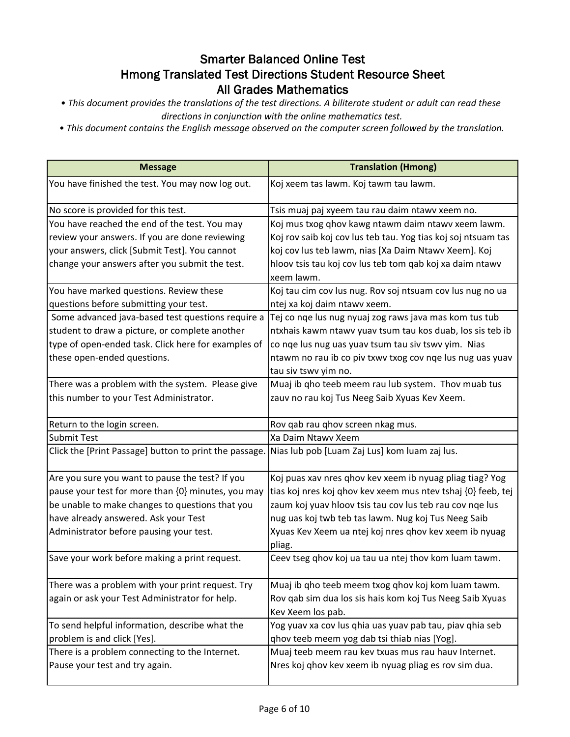- *This document provides the translations of the test directions. A biliterate student or adult can read these directions in conjunction with the online mathematics test.*
- *This document contains the English message observed on the computer screen followed by the translation.*

| <b>Message</b>                                                                                       | <b>Translation (Hmong)</b>                                    |
|------------------------------------------------------------------------------------------------------|---------------------------------------------------------------|
| You have finished the test. You may now log out.                                                     | Koj xeem tas lawm. Koj tawm tau lawm.                         |
| No score is provided for this test.                                                                  | Tsis muaj paj xyeem tau rau daim ntawv xeem no.               |
| You have reached the end of the test. You may                                                        | Koj mus txog qhov kawg ntawm daim ntawv xeem lawm.            |
| review your answers. If you are done reviewing                                                       | Koj rov saib koj cov lus teb tau. Yog tias koj soj ntsuam tas |
| your answers, click [Submit Test]. You cannot                                                        | koj cov lus teb lawm, nias [Xa Daim Ntawv Xeem]. Koj          |
| change your answers after you submit the test.                                                       | hloov tsis tau koj cov lus teb tom qab koj xa daim ntawv      |
|                                                                                                      | xeem lawm.                                                    |
| You have marked questions. Review these                                                              | Koj tau cim cov lus nug. Rov soj ntsuam cov lus nug no ua     |
| questions before submitting your test.                                                               | ntej xa koj daim ntawv xeem.                                  |
| Some advanced java-based test questions require a                                                    | Tej co nqe lus nug nyuaj zog raws java mas kom tus tub        |
| student to draw a picture, or complete another                                                       | ntxhais kawm ntawv yuav tsum tau kos duab, los sis teb ib     |
| type of open-ended task. Click here for examples of                                                  | co nqe lus nug uas yuav tsum tau siv tswv yim. Nias           |
| these open-ended questions.                                                                          | ntawm no rau ib co piv txwy txog cov nge lus nug uas yuav     |
|                                                                                                      | tau siv tswy yim no.                                          |
| There was a problem with the system. Please give                                                     | Muaj ib qho teeb meem rau lub system. Thov muab tus           |
| this number to your Test Administrator.                                                              | zauv no rau koj Tus Neeg Saib Xyuas Kev Xeem.                 |
| Return to the login screen.                                                                          | Rov qab rau qhov screen nkag mus.                             |
| <b>Submit Test</b>                                                                                   | Xa Daim Ntawv Xeem                                            |
| Click the [Print Passage] button to print the passage. Nias lub pob [Luam Zaj Lus] kom luam zaj lus. |                                                               |
| Are you sure you want to pause the test? If you                                                      | Koj puas xav nres qhov kev xeem ib nyuag pliag tiag? Yog      |
| pause your test for more than {0} minutes, you may                                                   | tias koj nres koj qhov kev xeem mus ntev tshaj {0} feeb, tej  |
| be unable to make changes to questions that you                                                      | zaum koj yuav hloov tsis tau cov lus teb rau cov nge lus      |
| have already answered. Ask your Test                                                                 | nug uas koj twb teb tas lawm. Nug koj Tus Neeg Saib           |
| Administrator before pausing your test.                                                              | Xyuas Kev Xeem ua ntej koj nres qhov kev xeem ib nyuag        |
|                                                                                                      | pliag.                                                        |
| Save your work before making a print request.                                                        | Ceev tseg qhov koj ua tau ua ntej thov kom luam tawm.         |
| There was a problem with your print request. Try                                                     | Muaj ib qho teeb meem txog qhov koj kom luam tawm.            |
| again or ask your Test Administrator for help.                                                       | Rov qab sim dua los sis hais kom koj Tus Neeg Saib Xyuas      |
|                                                                                                      | Kev Xeem los pab.                                             |
| To send helpful information, describe what the                                                       | Yog yuav xa cov lus qhia uas yuav pab tau, piav qhia seb      |
| problem is and click [Yes].                                                                          | qhov teeb meem yog dab tsi thiab nias [Yog].                  |
| There is a problem connecting to the Internet.                                                       | Muaj teeb meem rau kev txuas mus rau hauv Internet.           |
| Pause your test and try again.                                                                       | Nres koj qhov kev xeem ib nyuag pliag es rov sim dua.         |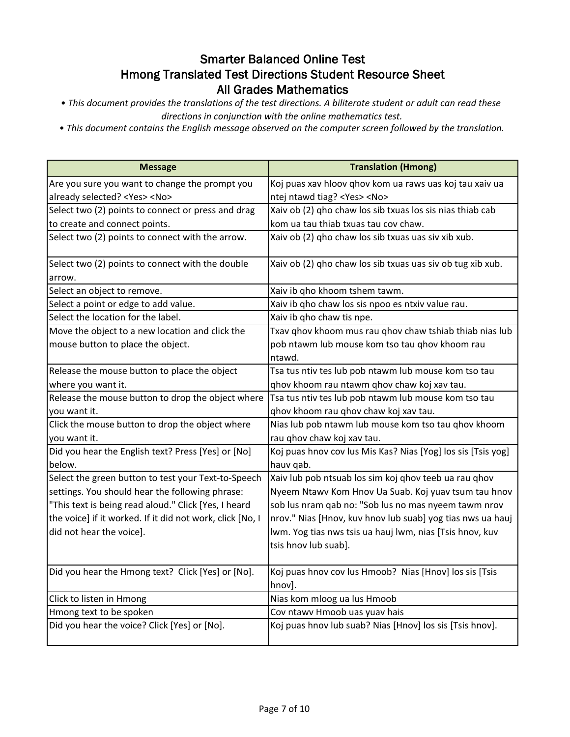- *This document provides the translations of the test directions. A biliterate student or adult can read these directions in conjunction with the online mathematics test.*
- *This document contains the English message observed on the computer screen followed by the translation.*

| <b>Message</b>                                            | <b>Translation (Hmong)</b>                                   |
|-----------------------------------------------------------|--------------------------------------------------------------|
| Are you sure you want to change the prompt you            | Koj puas xav hloov qhov kom ua raws uas koj tau xaiv ua      |
| already selected? <yes> <no></no></yes>                   | ntej ntawd tiag? <yes> <no></no></yes>                       |
| Select two (2) points to connect or press and drag        | Xaiv ob (2) gho chaw los sib txuas los sis nias thiab cab    |
| to create and connect points.                             | kom ua tau thiab txuas tau cov chaw.                         |
| Select two (2) points to connect with the arrow.          | Xaiv ob (2) qho chaw los sib txuas uas siv xib xub.          |
| Select two (2) points to connect with the double          | Xaiv ob (2) gho chaw los sib txuas uas siv ob tug xib xub.   |
| arrow.                                                    |                                                              |
| Select an object to remove.                               | Xaiv ib qho khoom tshem tawm.                                |
| Select a point or edge to add value.                      | Xaiv ib qho chaw los sis npoo es ntxiv value rau.            |
| Select the location for the label.                        | Xaiv ib qho chaw tis npe.                                    |
| Move the object to a new location and click the           | Txav qhov khoom mus rau qhov chaw tshiab thiab nias lub      |
| mouse button to place the object.                         | pob ntawm lub mouse kom tso tau qhov khoom rau               |
|                                                           | ntawd.                                                       |
| Release the mouse button to place the object              | Tsa tus ntiv tes lub pob ntawm lub mouse kom tso tau         |
| where you want it.                                        | qhov khoom rau ntawm qhov chaw koj xav tau.                  |
| Release the mouse button to drop the object where         | Tsa tus ntiv tes lub pob ntawm lub mouse kom tso tau         |
| you want it.                                              | qhov khoom rau qhov chaw koj xav tau.                        |
| Click the mouse button to drop the object where           | Nias lub pob ntawm lub mouse kom tso tau qhov khoom          |
| you want it.                                              | rau qhov chaw koj xav tau.                                   |
| Did you hear the English text? Press [Yes] or [No]        | Koj puas hnov cov lus Mis Kas? Nias [Yog] los sis [Tsis yog] |
| below.                                                    | hauv qab.                                                    |
| Select the green button to test your Text-to-Speech       | Xaiv lub pob ntsuab los sim koj qhov teeb ua rau qhov        |
| settings. You should hear the following phrase:           | Nyeem Ntawv Kom Hnov Ua Suab. Koj yuav tsum tau hnov         |
| "This text is being read aloud." Click [Yes, I heard      | sob lus nram qab no: "Sob lus no mas nyeem tawm nrov         |
| the voice] if it worked. If it did not work, click [No, I | nrov." Nias [Hnov, kuv hnov lub suab] yog tias nws ua hauj   |
| did not hear the voice].                                  | lwm. Yog tias nws tsis ua hauj lwm, nias [Tsis hnov, kuv     |
|                                                           | tsis hnov lub suab].                                         |
| Did you hear the Hmong text? Click [Yes] or [No].         | Koj puas hnov cov lus Hmoob? Nias [Hnov] los sis [Tsis       |
|                                                           | hnov].                                                       |
| Click to listen in Hmong                                  | Nias kom mloog ua lus Hmoob                                  |
| Hmong text to be spoken                                   | Cov ntawv Hmoob uas yuav hais                                |
| Did you hear the voice? Click [Yes] or [No].              | Koj puas hnov lub suab? Nias [Hnov] los sis [Tsis hnov].     |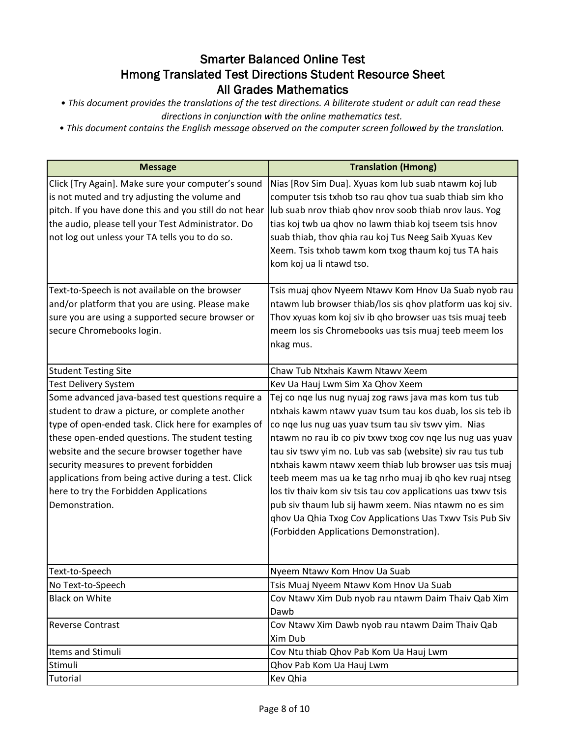*• This document provides the translations of the test directions. A biliterate student or adult can read these* 

*directions in conjunction with the online mathematics test.*

*• This document contains the English message observed on the computer screen followed by the translation.*

| <b>Message</b>                                                                                                                                                                                                                                                                                                                                                                                                             | <b>Translation (Hmong)</b>                                                                                                                                                                                                                                                                                                                                                                                                                                                                                                                                                                                                                                   |
|----------------------------------------------------------------------------------------------------------------------------------------------------------------------------------------------------------------------------------------------------------------------------------------------------------------------------------------------------------------------------------------------------------------------------|--------------------------------------------------------------------------------------------------------------------------------------------------------------------------------------------------------------------------------------------------------------------------------------------------------------------------------------------------------------------------------------------------------------------------------------------------------------------------------------------------------------------------------------------------------------------------------------------------------------------------------------------------------------|
| Click [Try Again]. Make sure your computer's sound<br>is not muted and try adjusting the volume and<br>pitch. If you have done this and you still do not hear<br>the audio, please tell your Test Administrator. Do<br>not log out unless your TA tells you to do so.                                                                                                                                                      | Nias [Rov Sim Dua]. Xyuas kom lub suab ntawm koj lub<br>computer tsis txhob tso rau qhov tua suab thiab sim kho<br>lub suab nrov thiab qhov nrov soob thiab nrov laus. Yog<br>tias koj twb ua qhov no lawm thiab koj tseem tsis hnov<br>suab thiab, thov qhia rau koj Tus Neeg Saib Xyuas Kev<br>Xeem. Tsis txhob tawm kom txog thaum koj tus TA hais<br>kom koj ua li ntawd tso.                                                                                                                                                                                                                                                                            |
| Text-to-Speech is not available on the browser<br>and/or platform that you are using. Please make<br>sure you are using a supported secure browser or<br>secure Chromebooks login.                                                                                                                                                                                                                                         | Tsis muaj qhov Nyeem Ntawv Kom Hnov Ua Suab nyob rau<br>ntawm lub browser thiab/los sis qhov platform uas koj siv.<br>Thov xyuas kom koj siv ib qho browser uas tsis muaj teeb<br>meem los sis Chromebooks uas tsis muaj teeb meem los<br>nkag mus.                                                                                                                                                                                                                                                                                                                                                                                                          |
| <b>Student Testing Site</b>                                                                                                                                                                                                                                                                                                                                                                                                | Chaw Tub Ntxhais Kawm Ntawv Xeem                                                                                                                                                                                                                                                                                                                                                                                                                                                                                                                                                                                                                             |
| Test Delivery System                                                                                                                                                                                                                                                                                                                                                                                                       | Kev Ua Hauj Lwm Sim Xa Qhov Xeem                                                                                                                                                                                                                                                                                                                                                                                                                                                                                                                                                                                                                             |
| Some advanced java-based test questions require a<br>student to draw a picture, or complete another<br>type of open-ended task. Click here for examples of<br>these open-ended questions. The student testing<br>website and the secure browser together have<br>security measures to prevent forbidden<br>applications from being active during a test. Click<br>here to try the Forbidden Applications<br>Demonstration. | Tej co nqe lus nug nyuaj zog raws java mas kom tus tub<br>ntxhais kawm ntawv yuav tsum tau kos duab, los sis teb ib<br>co nqe lus nug uas yuav tsum tau siv tswv yim. Nias<br>ntawm no rau ib co piv txwy txog cov nge lus nug uas yuav<br>tau siv tswv yim no. Lub vas sab (website) siv rau tus tub<br>ntxhais kawm ntawv xeem thiab lub browser uas tsis muaj<br>teeb meem mas ua ke tag nrho muaj ib qho kev ruaj ntseg<br>los tiv thaiv kom siv tsis tau cov applications uas txwv tsis<br>pub siv thaum lub sij hawm xeem. Nias ntawm no es sim<br>ghov Ua Qhia Txog Cov Applications Uas Txwv Tsis Pub Siv<br>(Forbidden Applications Demonstration). |
| Text-to-Speech                                                                                                                                                                                                                                                                                                                                                                                                             | Nyeem Ntawy Kom Hnov Ua Suab                                                                                                                                                                                                                                                                                                                                                                                                                                                                                                                                                                                                                                 |
| No Text-to-Speech<br><b>Black on White</b>                                                                                                                                                                                                                                                                                                                                                                                 | Tsis Muaj Nyeem Ntawv Kom Hnov Ua Suab<br>Cov Ntawv Xim Dub nyob rau ntawm Daim Thaiv Qab Xim<br>Dawb                                                                                                                                                                                                                                                                                                                                                                                                                                                                                                                                                        |
| <b>Reverse Contrast</b>                                                                                                                                                                                                                                                                                                                                                                                                    | Cov Ntawy Xim Dawb nyob rau ntawm Daim Thaiv Qab<br>Xim Dub                                                                                                                                                                                                                                                                                                                                                                                                                                                                                                                                                                                                  |
| Items and Stimuli                                                                                                                                                                                                                                                                                                                                                                                                          | Cov Ntu thiab Qhov Pab Kom Ua Hauj Lwm                                                                                                                                                                                                                                                                                                                                                                                                                                                                                                                                                                                                                       |
| Stimuli                                                                                                                                                                                                                                                                                                                                                                                                                    | Qhov Pab Kom Ua Hauj Lwm                                                                                                                                                                                                                                                                                                                                                                                                                                                                                                                                                                                                                                     |
| Tutorial                                                                                                                                                                                                                                                                                                                                                                                                                   | Kev Qhia                                                                                                                                                                                                                                                                                                                                                                                                                                                                                                                                                                                                                                                     |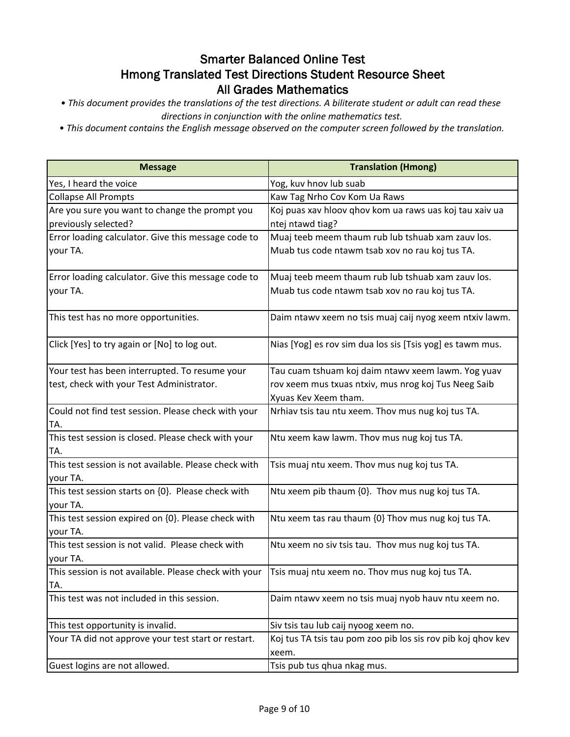- *This document provides the translations of the test directions. A biliterate student or adult can read these directions in conjunction with the online mathematics test.*
- *This document contains the English message observed on the computer screen followed by the translation.*

| <b>Message</b>                                                 | <b>Translation (Hmong)</b>                                                   |
|----------------------------------------------------------------|------------------------------------------------------------------------------|
| Yes, I heard the voice                                         | Yog, kuv hnov lub suab                                                       |
| <b>Collapse All Prompts</b>                                    | Kaw Tag Nrho Cov Kom Ua Raws                                                 |
| Are you sure you want to change the prompt you                 | Koj puas xav hloov qhov kom ua raws uas koj tau xaiv ua                      |
| previously selected?                                           | ntej ntawd tiag?                                                             |
| Error loading calculator. Give this message code to            | Muaj teeb meem thaum rub lub tshuab xam zauv los.                            |
| your TA.                                                       | Muab tus code ntawm tsab xov no rau koj tus TA.                              |
| Error loading calculator. Give this message code to            | Muaj teeb meem thaum rub lub tshuab xam zauv los.                            |
| your TA.                                                       | Muab tus code ntawm tsab xov no rau koj tus TA.                              |
| This test has no more opportunities.                           | Daim ntawv xeem no tsis muaj caij nyog xeem ntxiv lawm.                      |
| Click [Yes] to try again or [No] to log out.                   | Nias [Yog] es rov sim dua los sis [Tsis yog] es tawm mus.                    |
| Your test has been interrupted. To resume your                 | Tau cuam tshuam koj daim ntawv xeem lawm. Yog yuav                           |
| test, check with your Test Administrator.                      | rov xeem mus txuas ntxiv, mus nrog koj Tus Neeg Saib<br>Xyuas Kev Xeem tham. |
| Could not find test session. Please check with your            | Nrhiav tsis tau ntu xeem. Thov mus nug koj tus TA.                           |
| TA.                                                            |                                                                              |
| This test session is closed. Please check with your<br>TA.     | Ntu xeem kaw lawm. Thov mus nug koj tus TA.                                  |
| This test session is not available. Please check with          | Tsis muaj ntu xeem. Thov mus nug koj tus TA.                                 |
| your TA.                                                       |                                                                              |
| This test session starts on {0}. Please check with<br>your TA. | Ntu xeem pib thaum {0}. Thov mus nug koj tus TA.                             |
| This test session expired on {0}. Please check with            | Ntu xeem tas rau thaum {0} Thov mus nug koj tus TA.                          |
| your TA.                                                       |                                                                              |
| This test session is not valid. Please check with              | Ntu xeem no siv tsis tau. Thov mus nug koj tus TA.                           |
| your TA.                                                       |                                                                              |
| This session is not available. Please check with your          | Tsis muaj ntu xeem no. Thov mus nug koj tus TA.                              |
| TA.                                                            |                                                                              |
| This test was not included in this session.                    | Daim ntawy xeem no tsis muaj nyob hauv ntu xeem no.                          |
| This test opportunity is invalid.                              | Siv tsis tau lub caij nyoog xeem no.                                         |
| Your TA did not approve your test start or restart.            | Koj tus TA tsis tau pom zoo pib los sis rov pib koj qhov kev                 |
|                                                                | xeem.                                                                        |
| Guest logins are not allowed.                                  | Tsis pub tus qhua nkag mus.                                                  |